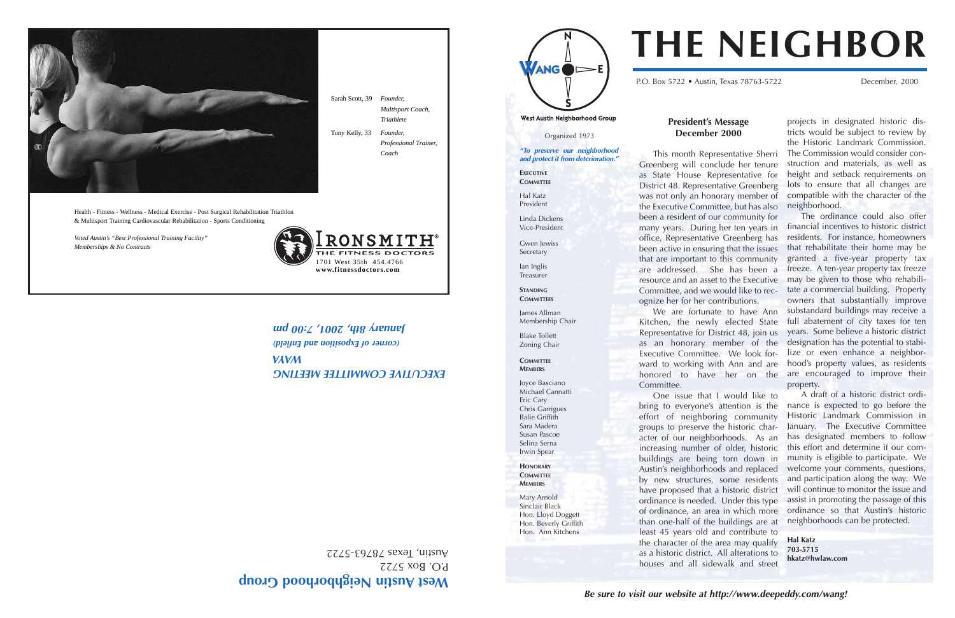Organized 1973

West Austin Neighborhood Group

**"To preserve our neighborhood and protect it from deterioration."**

Gwen lewiss Secretary



**EXECUTIVE COMMITTEE**

Hal Katz

President

Linda Dickens

Vice-President

Ian Inglis

Treasurer

**STANDING**

**COMMITTEES**

ANG

Membership Chair

James Allman Blake Tollett Zoning Chair **COMMITTEE MEMBERS** Joyce Basciano

Michael Cannatti Eric Cary Chris Garrigues

Balie Griffith Sara Madera Susan Pascoe Selina Serna Irwin Spear **HONORARY COMMITTEE MEMBERS**

Mary Arnold Sinclair Black Hon. Lloyd Doggett Hon. Beverly Griffith Hon. Ann Kitchens

# **President's Message December 2000**

This month Representative Sherri Greenberg will conclude her tenure as State House Representative for District 48. Representative Greenberg was not only an honorary member of the Executive Committee, but has also been a resident of our community for many years. During her ten years in office, Representative Greenberg has been active in ensuring that the issues that are important to this community are addressed. She has been a resource and an asset to the Executive Committee, and we would like to recognize her for her contributions.

We are fortunate to have Ann Kitchen, the newly elected State Representative for District 48, join us as an honorary member of the Executive Committee. We look forward to working with Ann and are

Committee.

Austin, Iexas 78763-5722

EXEC**OLINE COMMITTEE MEETING** 

One issue that I would like to bring to everyone's attention is the effort of neighboring community groups to preserve the historic character of our neighborhoods. As an increasing number of older, historic buildings are being torn down in Austin's neighborhoods and replaced by new structures, some residents have proposed that a historic district ordinance is needed. Under this type of ordinance, an area in which more than one-half of the buildings are at least 45 years old and contribute to the character of the area may qualify as a historic district. All alterations to houses and all sidewalk and street

honored to have her on the are encouraged to improve their The ordinance could also offer financial incentives to historic district residents. For instance, homeowners that rehabilitate their home may be granted a five-year property tax freeze. A ten-year property tax freeze may be given to those who rehabilitate a commercial building. Property owners that substantially improve substandard buildings may receive a full abatement of city taxes for ten years. Some believe a historic district designation has the potential to stabilize or even enhance a neighborhood's property values, as residents property.

projects in designated historic districts would be subject to review by the Historic Landmark Commission. The Commission would consider construction and materials, as well as height and setback requirements on lots to ensure that all changes are compatible with the character of the neighborhood.

A draft of a historic district ordinance is expected to go before the Historic Landmark Commission in January. The Executive Committee has designated members to follow this effort and determine if our community is eligible to participate. We welcome your comments, questions, and participation along the way. We will continue to monitor the issue and assist in promoting the passage of this ordinance so that Austin's historic neighborhoods can be protected.

**Hal Katz 703-5715 hkatz@hwlaw.com**

# **THE NEIGHBOR**

P.O. Box 5722 • Austin, Texas 78763-5722 December, 2000





P.O. Box 5722

**WAYA**

**(corner of Exposition and Enfield)**

Sarah Scott, 39 *Founder,* 

*Multisport Coach, Triathlete*

Tony Kelly, 33 *Founder,* 

*Professional Trainer,* 

*Coach* 

**January 2:007 August 2:00 pm** 



Health - Fitness - Wellness - Medical Exercise - Post Surgical Rehabilitation Triathlon & Multisport Training Cardiovascular Rehabilitation - Sports Conditioning

*Voted Austin's "Best Professional Training Facility" Memberships & No Contracts*